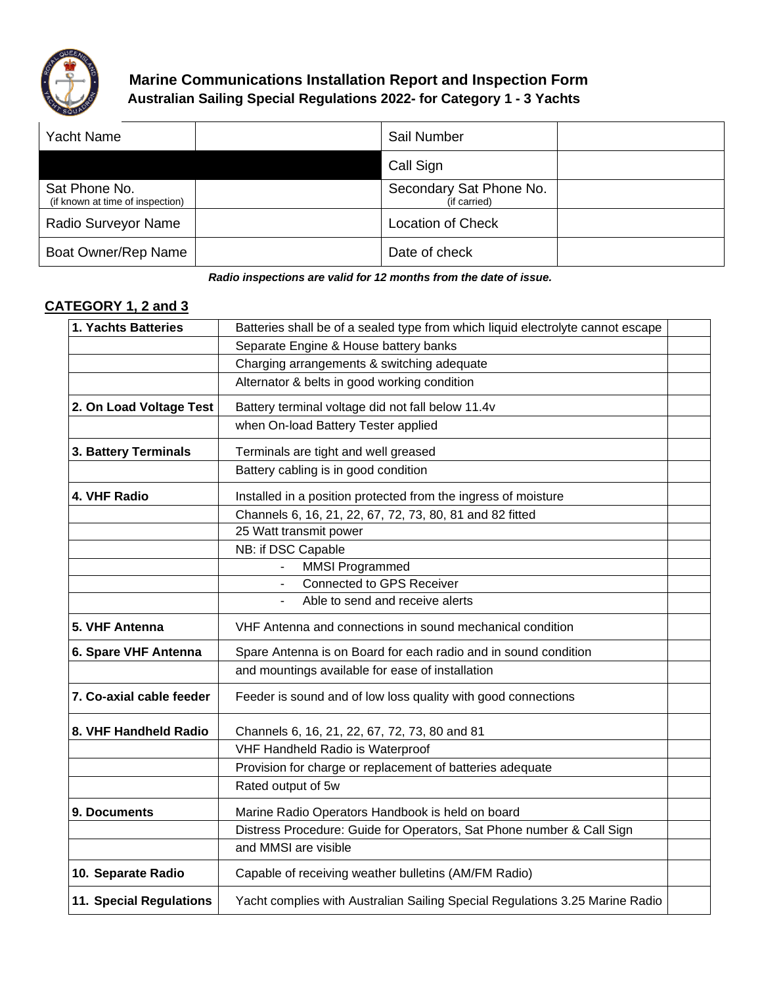

## **Marine Communications Installation Report and Inspection Form Australian Sailing Special Regulations 2022- for Category 1 - 3 Yachts**

| <b>Yacht Name</b>                                 | Sail Number                             |  |
|---------------------------------------------------|-----------------------------------------|--|
|                                                   | Call Sign                               |  |
| Sat Phone No.<br>(if known at time of inspection) | Secondary Sat Phone No.<br>(if carried) |  |
| Radio Surveyor Name                               | <b>Location of Check</b>                |  |
| Boat Owner/Rep Name                               | Date of check                           |  |

*Radio inspections are valid for 12 months from the date of issue.*

## **CATEGORY 1, 2 and 3**

| 1. Yachts Batteries      | Batteries shall be of a sealed type from which liquid electrolyte cannot escape |  |  |  |
|--------------------------|---------------------------------------------------------------------------------|--|--|--|
|                          | Separate Engine & House battery banks                                           |  |  |  |
|                          | Charging arrangements & switching adequate                                      |  |  |  |
|                          | Alternator & belts in good working condition                                    |  |  |  |
| 2. On Load Voltage Test  | Battery terminal voltage did not fall below 11.4v                               |  |  |  |
|                          | when On-load Battery Tester applied                                             |  |  |  |
| 3. Battery Terminals     | Terminals are tight and well greased                                            |  |  |  |
|                          | Battery cabling is in good condition                                            |  |  |  |
| 4. VHF Radio             | Installed in a position protected from the ingress of moisture                  |  |  |  |
|                          | Channels 6, 16, 21, 22, 67, 72, 73, 80, 81 and 82 fitted                        |  |  |  |
|                          | 25 Watt transmit power                                                          |  |  |  |
|                          | NB: if DSC Capable                                                              |  |  |  |
|                          | <b>MMSI Programmed</b>                                                          |  |  |  |
|                          | <b>Connected to GPS Receiver</b>                                                |  |  |  |
|                          | Able to send and receive alerts                                                 |  |  |  |
| 5. VHF Antenna           | VHF Antenna and connections in sound mechanical condition                       |  |  |  |
| 6. Spare VHF Antenna     | Spare Antenna is on Board for each radio and in sound condition                 |  |  |  |
|                          | and mountings available for ease of installation                                |  |  |  |
| 7. Co-axial cable feeder | Feeder is sound and of low loss quality with good connections                   |  |  |  |
| 8. VHF Handheld Radio    | Channels 6, 16, 21, 22, 67, 72, 73, 80 and 81                                   |  |  |  |
|                          | VHF Handheld Radio is Waterproof                                                |  |  |  |
|                          | Provision for charge or replacement of batteries adequate                       |  |  |  |
|                          | Rated output of 5w                                                              |  |  |  |
| 9. Documents             | Marine Radio Operators Handbook is held on board                                |  |  |  |
|                          | Distress Procedure: Guide for Operators, Sat Phone number & Call Sign           |  |  |  |
|                          | and MMSI are visible                                                            |  |  |  |
| 10. Separate Radio       | Capable of receiving weather bulletins (AM/FM Radio)                            |  |  |  |
| 11. Special Regulations  | Yacht complies with Australian Sailing Special Regulations 3.25 Marine Radio    |  |  |  |